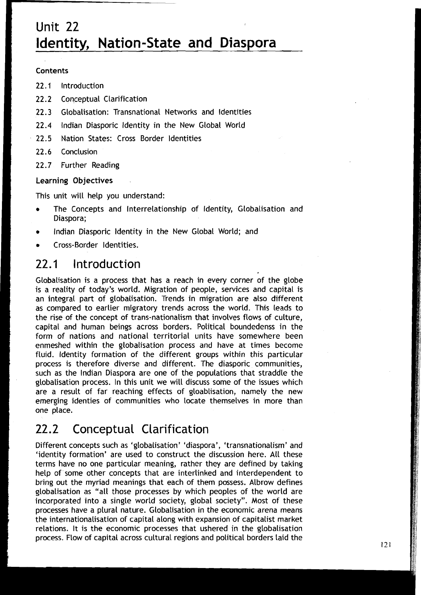# Unit 22 **Identity, Nation-State and Diaspora**

#### **Contents**

- 
- **22.1 Introduction**<br>**22.2 Conceptual Clarification**
- <sup>1</sup>**22.3** Globalisation: Transnational Networks and Identities
- **22.4** lndian Diasporic ldentity in the New Global World
- 22.5 Nation States: Cross Border ldentities
- **22.6** Conclusion
- 22.7 Further Reading

### **Learning** Objectives

This unit will help you understand:

- The Concepts and Interrelationship of Identity, Globalisation and Diaspora;
- lndian Diasporic ldentity in the New Global World; and  $\bullet$
- Cross-Border Identities.

## 22.1 Introduction

Globalisation is a process that has a reach in every corner of the globe is a reality of today's world. Migration of people, services and capital is an integral part of globalisation. Trends in migration are also different as compared to earlier migratory trends across the world. This leads to the rise of the concept of trans-nationalism that involves flows of culture, capital and human beings across borders. Political boundedenss in the form of nations and national territorial units have somewhere been enmeshed within the globalisation process and have at times become fluid. ldentity formation of the different groups within this particular process is therefore diverse and different. The diasporic communities, such as the lndian Diaspora are one of the populations that straddle the globalisation process. In this unit we will discuss some of the issues which are a result of far reaching effects of gloablisation, namely the new emerging identies of communities who locate themselves in more than one place.

#### Conceptual Clarification 22.2

Different concepts such as 'globalisation' 'diaspora', 'transnationalism' and 'identity formation' are used to construct the discussion here. All these terms have no one particular meaning, rather they are defined by taking help of some other concepts that are interlinked and interdependent to bring out the myriad meanings that each of them possess. Albrow defines globalisation as "all those processes by which peoples of the world are incorporated into a single world society, global society". Most of these processes have a plural nature. Globalisation in the economic arena means the internationalisation of capital along with expansion of capitalist market relations. It is the economic processes that ushered in the globalisation process. Flow of capital across cultural regions and political borders laid the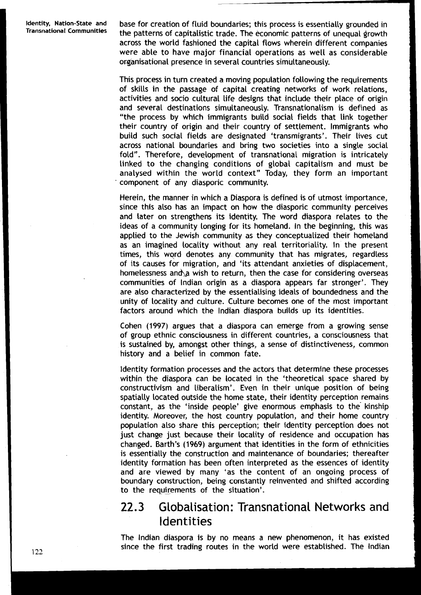Identity, Nation-State and base for creation of fluid boundaries; this process is essentially grounded in<br>Transnational Communities the patterns of conjtalistic trade. The essention attents of unaqual drawth the patterns of capitalistic trade. The economic patterns of unequal growth across the world fashioned the capital flows wherein different companies were able to have major financial operations as well as considerable organisational presence in several countries simultaneously.

> This process in turn created a moving population following the requirements of skills in the passage of capital creating networks of work relations, activities and socio cultural life designs that include their place of origin and several destinations simultaneously. Transnationalism is defined as "the process by which immigrants build social fields that link together their country of origin and their country of settlement. Immigrants who build such social fields are designated 'transmigrants'. Their lives cut across national boundaries and bring two societies into a single social fold". Therefore, development of transnational migration is intricately linked to the changing conditions of global capitalism and must be analysed within the world context" Today, they form an important ' component of any diasporic community.

> Herein, the manner in which a Diaspora is defined is of utmost 'importance, since this also has an impact on how the diasporic community perceives and later on strengthens its identity. The word diaspora relates to the ideas of a community longing for its homeland. In the beginning, this was applied to the Jewish community as they conceptualized their homeland as an imagined locality without any real territoriality. In the present times, this wqrd denotes any community that has migrates, regardless of its\ causes for migration, and 'its attendant anxieties of displacement, homelessness and a wish to return, then the case for considering overseas communities of lndian origin as a diaspora appears far stronger'. They are also characterized by the essentialising ideals of boundedness and the unity of locality and culture. Culture becomes one of the most important factors around which the lndian diaspora builds up its identities.

> Cohen (1997) argues that a diaspora can emerge from a growing sense of group ethnic consciousness in different countries, a consciousness that is sustained by, amongst other things, a sense of distinctiveness, common history and a belief in common fate.

> Identity formation processes and the actors that determine these processes within the diaspora can be located in the 'theoretical space shared by constructivism and liberalism'. Even in their unique position of being spatially located outside the home state, their identity perception remains constant, as the 'inside people' give enormous emphasis to the kinship identity. Moreover, the host country population, and their home country population also share this perception; their identity perception does not just change just because their locality of residence and occupation has changed. Barth's (1969) argument that identities in the form of ethnicities is essentially the construction and maintenance of boundaries; thereafter identity formation has been often interpreted as the essences of identity and are viewed by many 'as the content of an ongoing process of boundary construction, being constantly reinvented and shifted according to the requirements of the situation'.

## 22.3 Globalisation: Transnational Networks and Identities

The lndian diaspora is by no means a new phenomenon, it has existed since the first trading routes in the world were established. The lndian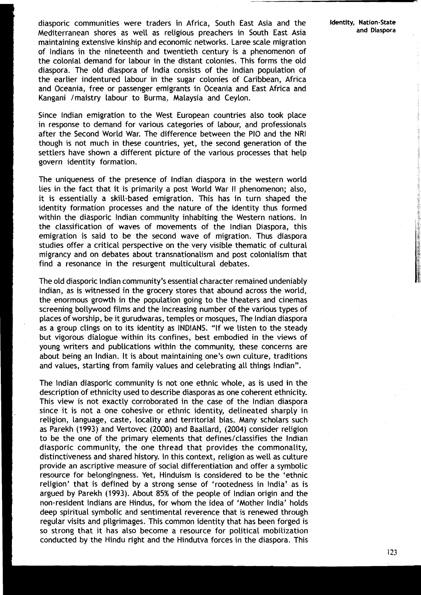diasporic communities were traders in Africa, South East Asia and the Identity, Nation-State<br>Modifersencen shores as well as soligious proachers in South East Asia and and Diaspora Mediterranean shores as well as religious preachers in South East Asia maintaining extensive kinship and economic networks. Larae scale migration of lndians in the nineteenth and twentieth century is a phenomenon of the colonial demand for labour in the distant colonies. This forms the old diaspora. The old diaspora of India consists of the lndian population of the earlier indentured labour in the sugar colonies of Caribbean, Africa and Oceania, free or passenger emigrants in Oceania and East Africa and Kangani / maistry labour to Burma, Malaysia and Ceylon.

Since lndian emigration to the West European countries also took place in response to demand for various categories of labour, and professionals after the Second World War. The difference between the PI0 and the NRI though is not much in these countries, yet, the second generation of the settlers have shown a different picture of the various processes that help govern identity formation.

The uniqueness of the presence of lndian diaspora in the western world lies in the fact that it is primarily a post World War II phenomenon; also, it is essentially a skill-based emigration. This has in turn shaped the identity formation processes and the nature of the identity thus formed within the diasporic Indian community inhabiting the Western nations. In the classification of waves of movements of the lndian Diaspora, this emigration is said to be the second wave of migration. Thus diaspora studies offer a critical perspective on the very visible thematic of cultural migrancy and on debates about transnationalism and post colonialism that find a resonance in the resurgent multicultural debates.

The old diasporic lndian community's essential character remained undeniably Indian, as is witnessed in the grocery stores that abound across the world, the enormous growth in the population going to the theaters and cinemas screening bollywood films and the increasing number of the various types of places of worship, be it gurudwaras, temples or mosques, The lndian diaspora as a group clings on to its identity as INDIANS. "If we listen to the steady but vigorous dialogue within its confines, best embodied in the views of young writers and publications within the community, these concerns are about being an Indian. It is about maintaining one's own culture, traditions and values, starting from family values and celebrating all things Indian".

The lndian diasporic community is not one ethnic whole, as is used in the description of ethnicity used to describe diasporas as one coherent ethnicity. This view is not exactly corroborated in the case of the lndian diaspora since it is not a one cohesive or ethnic identity, delineated sharply in religion, language, caste, locality and territorial bias. Many scholars such as Parekh **(1993)** and Vertovec **(2000)** and Baallard, **(2004)** consider religion to be the one of the primary elements that defines/classifies the lndian diasporic community, the one thread that provides the commonality, distinctiveness and shared history. In this context, religion as well as culture provide an ascriptive measure of social differentiation and offer a symbolic resource for belongingness. Yet, Hinduism is considered to be the 'ethnic religion' that is defined by a strong sense of 'rootedness in India' as is argued by Parekh **(1993).** About 85% of the people of lndian origin and the non-resident lndians are Hindus, for whom the idea of 'Mother India' holds deep spiritual symbolic and sentimental reverence that is renewed through regular visits and pilgrimages. This common identity that has been forged is so strong that it has also become a resource for political mobilization conducted by the Hindu right and the Hindutva forces in the diaspora. This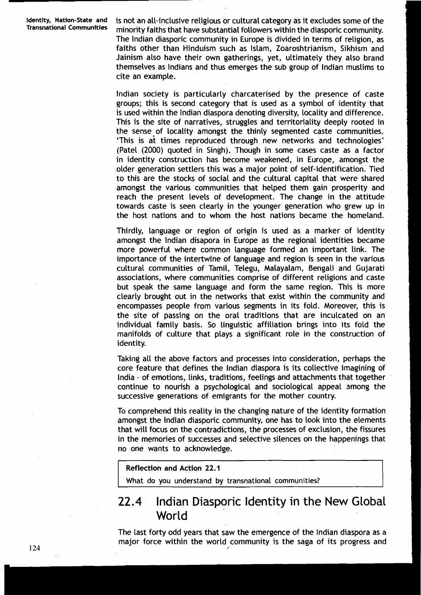**Identity, Nation-State and** is not an all-inclusive religious or cultural category as it excludes some of the **Transnational Communities** minority faiths that have substantial followers within the diasporic community. The lndian diasporic community in Europe is divided in terms of religion, as faiths other than Hinduism such as Islam, Zoaroshtrianism, Sikhism and Jainism also have their own gatherings, yet, ultimately they also brand themselves as Indians and thus emerges the sub group of lndian muslims to cite an example.

> lndian society is particularly charcaterised by the presence of caste groups; this is second category that is used as a symbol of identity that is used within the Indian diaspora denoting diversity, locality and difference. This is the site of narratives, struggles and territoriality deeply rooted in the sense of locality amongst the thinly segmented caste communities. 'This is at times reproduced through new networks and technologies' (Patel (2000) quoted in Singh). Though in some cases caste as a factor in identity construction has become weakened, in Europe, amongst the older generation settlers this was a major point of self-identification. Tied to this are the stocks of social and the cultural capital that were shared amongst the various communities that helped them gain prosperity and reach the present levels of development. The change in the attitude towards caste is seen clearly in the younger generation who grew up in the host nations and to whom the host nations became the homeland.

> Thirdly, language or region of origin is used as a marker of identity amongst the lndian disapora in Europe as the regional identities became more powerful where common language formed an important link. The importance of the intertwine of language and region is seen in the various cultural communities of Tamil, Telegu, Malayalam, Bengali and Gujarati associations, where communities comprise of different religions and caste but speak the same language and form the same region. This is more clearly brought out in the networks that exist within the community and encompasses people from various segments in its fold. Moreover, this is the site of passing on the oral traditions that are inculcated on an individual family basis. So linguistic affiliation brings into its fold the manifolds of culture that plays a significant role in the construction of identity.

> Taking all the above factors and processes into consideration, perhaps the core feature that defines the lndian diaspora is its collective imagining of India - of emotions, links, traditions, feelings and attachments that together continue to nourish a psychological and sociological appeal among the successive generations of emigrants for the mother country.

> To comprehend this reality in the changing nature of the identity formation amongst the lndian diasporic community, one has to look into the elements that will focus on the contradictions, the processes of exclusion, the fissures in the memories of successes and selective silences on the happenings that no one wants to acknowledge.

#### **Reflection and Action 22.1**

What do you understand by transnational communities?

## **22.4** lndian Diasporic Identity in the New Global World

The last forty odd years that saw the emergence of the lndian diaspora as a major force within the world community is the saga of its progress and /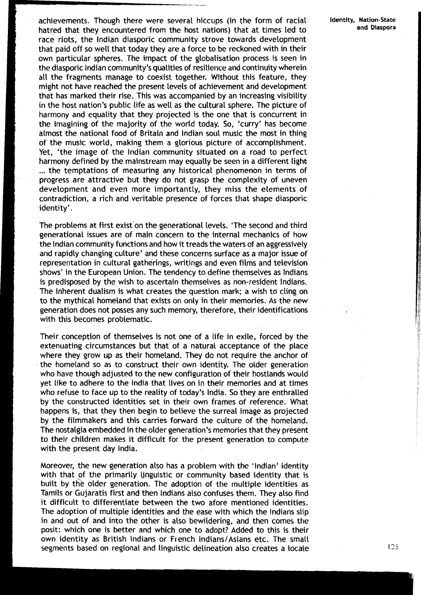achievements. Though there were several hiccups (in the form of racial **Identity, Nation-State**<br>hatred that thou ancountered from the best nations) that at times lod to and Diaspora hatred that they encountered from the host nations) that at times led to ! race riots, the lndian diasporic community strove towards development **<sup>I</sup>**that paid off so well that today they are a force to be reckoned with in their own particular spheres. The impact of the globalisation process is seen in the diasporic Indian community's qualities of resilience and continuity wherein all the fragments manage to coexist together. Without this feature, they might not have reached the present levels of achievement and development that has marked their rise. This was accompanied by an increasing visibility in the host nation's public life as well as the cultural sphere. The picture of harmony and equality that they projected is the one that is concurrent in the imagining of the majority of the world today. So, 'curry' has become almost the national food of Britain and lndian soul music the most in thing of the music world, making them a glorious picture of accomplishment. Yet, 'the image of the lndian community situated on a road to perfect harmony defined by the mainstream may equaliy be seen in a different light ... the temptations of measuring any historical phenomenon in terms of progress are attractive but they do not grasp the complexity of uneven development and even more importantly, they miss the elements of contradiction, a rich and veritable presence of forces that shape diasporic identity'.

The problems at first exist on the generational levels. 'The second and third generational issues are of main concern to the internal mechanics of how the Indian community functions and how it treads the waters of an aggressively and rapidly changing culture' and these concerns surface as a major issue of representation in cultural gatherings, writings and even films and television shows' in the European Union. The tendency to define themselves as lndians is predisposed by the wish to ascertain themselves as non-resident Indians. The inherent dualism is what creates the question mark; a wish to cling on to the mythical homeland that exists on only in their memories. As the new generation does not posses any such memory, therefore, their identifications with this becomes problematic.

Their conception of themselves is not one of a life in exile, forced by the extenuating circumstances but that of a natural acceptance of the place where they grow up as their homeland. They do not require the anchor of the homeland so as to construct their own identity. The older generation who have though adjusted to the new configuration of their hostlands would yet like to adhere to the India that lives on in their memories and at times who refuse to face up to the reality of today's India. So they are enthralled by the constructed identities set in their own frames of reference. What happens is, that they then begin to believe the surreal image as projected by the filmmakers and this carries forward the culture of the homeland. The nostalgia embedded in the older generation's memories that they present to their children makes it difficult for the present generation to compute with the present day India.

Moreover, the new generation also has a problem with the 'Indian' identity with that of the primarily ljnguistic or community based identity that is built by the older generation. The adoption of the multiple identities as Tamils or Gujaratis first and then lndians also confuses them. They also find it difficult to differentiate between the two afore mentioned identities. The adoption of multiple identities and the ease with which the lndians slip in and out of and into the other is also bewildering, and then comes the posit: which one is better and which one to adopt? Added to this is their own identity as British Indians or French Indians/Asians etc. The small segments based on regional and linguistic delineation also creates a locale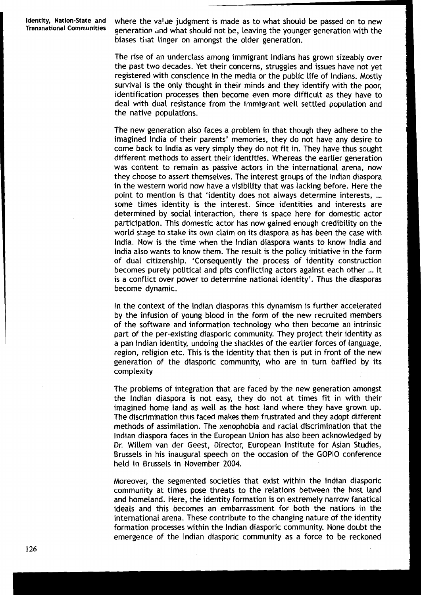**Identity, Nation-State and**  where the value judgment is made as to what should be passed on to new Transnational Communities approaching and what should not be leaving the vermeen concention with the generation and what should not be, leaving the younger generation with the biases that linger on amongst the older generation.

> The rise of an underclass among immigrant Indians has grown sizeably over the past two decades. Yet their concerns, struggles and issues have not yet registered with conscience in the media or the public life of Indians. Mostly survival is the only thought in their minds and they identify with the poor, identification processes then become even more difficult as they have to deal with dual resistance from the immigrant well settled population and the native populations.

> The new generation also faces a problem in that though they adhere to the imagined lndia of their parents' memories, they do not have any desire to come back to lndia as very simply they do not fit in. They have thus sought different methods to assert their identities. Whereas the earlier generation was content to remain as passive actors in the international arena, now they choose to assert themselves. The interest groups of the lndian diaspora in the western world now have a visibility that was lacking before. Here the point to mention is that 'identity does not always determine interests, ... some times identity is the interest. Since identities and interests are determined by social interaction, there is space here for domestic actor participation. This domestic actor has now gained enough credibility on the world stage to stake its own claim on its diaspora as has been the case with India. Now is the time when the lndian diaspora wants to know lndia and lndia also wants to know them. The result is the policy initiative in the form of dual citizenship. 'Consequently the process of identity construction becomes purely political and pits conflicting actors against each other ... it is a conflict over power to determine national identity'. Thus the diasporas become dynamic.

> In the context of the lndian diasporas this dynamism is further accelerated by the infusion of young blood in the form of the new recruited members of the software and information technology who then become an intrinsic part of the per-existing diasporic community. They project their identity as a pan lndian identity, undoing the shackles of the earlier forces of language, region, religion etc. This is the identity that then is put in front of the new generation of the diasporic community, who are in turn baffled by its complexity

> The problems of integration that are faced by the new generation amongst the lndian diaspora is not easy, they do not at times fit in with their imagined home land as well as the host land where they have grown up. The discrimination thus faced makes them frustrated and they adopt different methods of assimilation. The xenophobia and racial discrimination that the lndian diaspora faces in the European Union has also been acknowledged by Dr. Willem van der Geest, Director, European Institute for Asian Studies, Brussels in his inaugural speech on the occasion of the GOPIO conference held in Brussels in November 2004.

> Moreover, the segmented societies that exist within the lndian diasporic community at times pose threats to the relations between the host land and homeland. Here, the identity formation is on extremely narrow fanatical ideals and this becomes an embarrassment for both the nations in the international arena. These contribute to the changing nature of the identity formation processes within the lndian diasporic community. None doubt the emergence of the lndian diasporic community as a force to be reckoned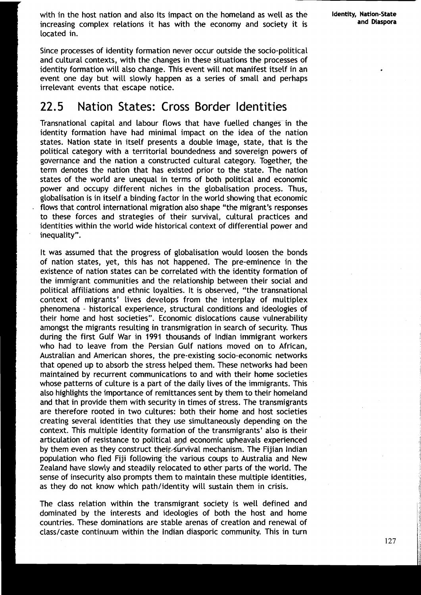with in the host nation and also its impact on the homeland as well as the increasing complex relations it has with the economy and society it is located in.

Since processes of identity formation never occur outside the socio-political and cultural contexts, with the changes in these situations the processes of identity formation will also change. This event will not manifest itself in an event one day but will slowly happen as a series of small and perhaps irrelevant events that escape notice.

## 22.5 Nation States: Cross Border Identities

Transnational capital and labour flows that have fuelled changes in the identity formation have had minimal impact on the idea of the nation states. Nation state in itself presents a double image, state, that is the political category with a territorial boundedness and sovereign powers of governance and the nation a constructed cultural category. Together, the term denotes the nation that has existed prior to the state. The nation states of the world are unequal in terms of both political and economic power and occupy different niches in the globalisation process. Thus, globalisation is in itself a binding factor in the world showing that economic flows that control international migration also shape "the migrant's responses to these forces and strategies of their survival, cultural practices and identities within the world wide historical context of differential power and inequality".

It was assumed that the progress of globalisation would loosen the bonds of nation states, yet, this has not happened. The pre-eminence in the existence of nation states can be correlated with the identity formation of the immigrant communities and the relationship between their social and political affiliations and ethnic loyalties. It is observed, "the transnational context of migrants' lives develops from the interplay of multiplex phenomena - historical experience, structural conditions and ideologies of their home and host societies". Economic dislocations cause vulnerability amongst the migrants resulting in transmigration in search of security. Thus during the first Gulf War in 1991 thousands of lndian immigrant workers who had to leave from the Persian Gulf nations moved on to African, Australian and American shores, the pre-existing socio-economic networks that opened up to absorb the stress helped them. These networks had been maintained by recurrent communications to and with their home societies whose patterns of culture is a part of the daily lives of the immigrants. This also highlights the importance of remittances sent by them to their homeland and that in provide them with security in times of stress. The transmigrants are therefore rooted in two cultures: both their home and host societies creating several identities that they use simultaneously depending on the context. 'This multiple identity formation of the transmigrants' also is their articulation of resistance to political and economic upheavals experienced by them even as they construct their survival mechanism. The Fijian Indian population who fled Fiji following the various coups to Australia and New Zealand have slowly and steadily relocated to other parts of the world. The sense of insecurity also prompts them to maintain these multiple identities, as they do not know which path/identity will sustain them in crisis.

The class relation within the transmigrant society is well defined and dominated by the interests and ideologies of both the host and home countries. These dominations are stable arenas of creation and renewal of classlcaste continuum within the lndian diasporic community. This in turn Identity, Nation-State and Diaspora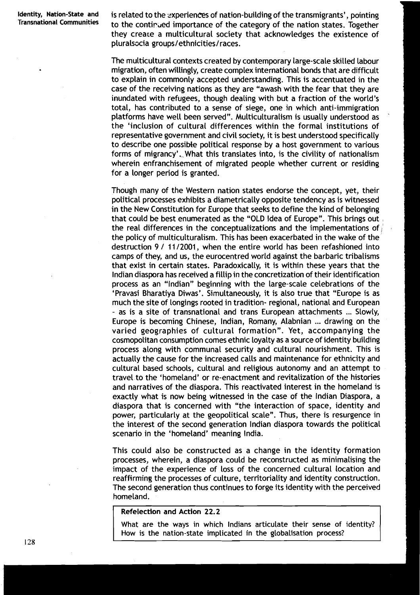Identity, Nation-State and is related to the experiences of nation-building of the transmigrants', pointing Transnational Communities to the continued importance of the category of the nation states. Together they create a multicultural society that acknowledges the existence of pluralsocia groups/ethnicities/races.

> The multicultural contexts created by contemporary large-scale skilled labour migration, often willingly, create complex international bonds that are difficult to explain in commonly accepted understanding. This is accentuated in the case of the receiving nations as they are "awash with the fear that they are inundated with refugees, though dealing with but a fraction of the world's total, has contributed to a sense of siege, one in which anti-immigration platforms have well been served". Multiculturalism is usually understood as ' the 'inclusion of cultural differences within the formal institutions of representative government and civil society, it is best understood specifically to describe one possible political response by a host government to various forms of migrancy'. What this translates into, is the civility of nationalism wherein enfranchisement of migrated people whether current or residing for a longer period is granted.

> Though many of the Western nation states endorse the concept, yet, their political processes exhibits a diametrically opposite tendency as is witnessed in the New Constitution for Europe that seeks to define the kind of belonging that could be best enumerated as the "OLD Idea of Europe". This brings out the real differences in the conceptualizations and the implementations of  $\frac{1}{k}$ the policy of multiculturalism. This has been exacerbated in the wake of the destruction 9 / 11/2001, when the entire world has been refashioned into camps of they, and us, the eurocentred world against the barbaric tribalisms that exist in certain states. Paradoxically, it is within these years that the lndian diaspora has received a fillip in the concretization of their identification process as an "lndian" beginning with the large-scale celebrations of the 'Pravasi Bharatiya Diwas'. Simultaneously, it is also true that "Europe is as much the site of longings rooted in tradition- regional, national and European - as is a site of transnational and trans European attachments ... Slowly, Europe is becoming Chinese, Indian, Romany, Alabnian ... drawing on the varied geographies of cultural formation". Yet, accompanying the cosmopolitan consumption comes ethnic loyalty as a source of identity building process along with communal security and cultural nourishment. This is actually the cause for the increased calls and maintenance for ethnicity and cultural based schools, cultural and religious autonomy and an attempt to travel to the 'homeland' or re-enactment and revitalization of the histories and narratives of the diaspora. This reactivated interest in the homeland is exactly what is now being witnessed in the case of the lndian Diaspora, a diaspora that is concerned with "the interaction of space, identity and power, particularly at the geopolitical scale". Thus, there is resurgence in the interest of the second generation lndian diaspora towards the political scenario in the 'homeland' meaning India.

> This could also be constructed as a change in the identity formation processes, wherein, a diaspora could be reconstructed as minimalising the impact of the experience of loss of the concerned cultural location and reaffirming the processes of culture, territoriality and identity construction. The second generation thus continues to forge its identity with the perceived homeland.

#### **Refelection and Action 22.2**

What are the ways in which Indians articulate their sense of identity? How is the nation-state implicated in the globalisation process?